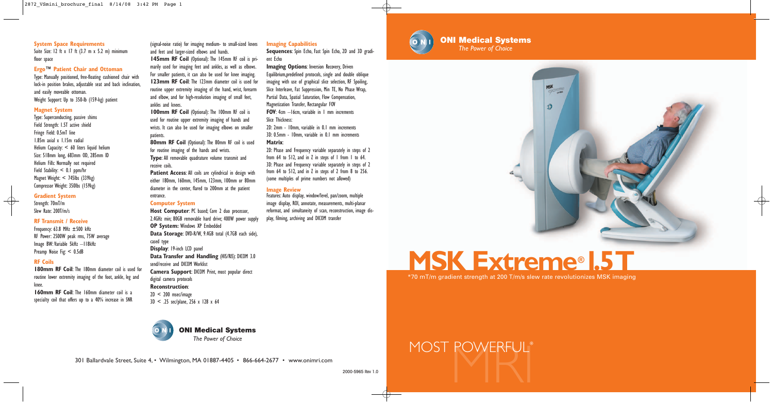



Suite Size: 12 ft x 17 ft (3.7 m x 5.2 m) minimum floor space

### **Ergo™ Patient Chair and Ottoman**

Type: Manually positioned, free-floating cushioned chair with lock-in position brakes, adjustable seat and back inclination, and easily moveable ottoman. Weight Support: Up to 350-lb (159-kg) patient

### **Magnet System**

Type: Superconducting, passive shims Field Strength: 1.5T active shield Fringe Field: 0.5mT line 1.85m axial x 1.15m radial Helium Capacity: < 60 liters liquid helium Size: 518mm long, 683mm OD, 285mm ID Helium Fills: Normally not required Field Stability: < 0.1 ppm/hr Magnet Weight: < 745lbs (339kg) Compressor Weight: 350lbs (159kg)

**System Space Requirements** (signal-noise ratio) for imaging medium- to small-sized knees **Imaging Capabilities** (space the Power of Choice The Power of Choice The Power of Choice The Power of Choice The Power of Choice Th (signal-noise ratio) for imaging medium- to small-sized knees and feet and larger-sized elbows and hands.

### **Gradient System**

Strength: 70mT/m Slew Rate: 200T/m/s

### **RF Transmit / Receive**

**100mm RF Coil** (Optional): The 100mm RF coil is used for routine upper extremity imaging of hands and wrists. It can also be used for imaging elbows on smaller patients.

Frequency: 63.8 MHz ±500 kHz RF Power: 2500W peak rms, 75W average Image BW:Variable 5kHz –118kHz Preamp Noise Fig: < 0.5dB

**80mm RF Coil** (Optional): The 80mm RF coil is used for routine imaging of the hands and wrists. **Type**: All removable quadrature volume transmit and receive coils.

### **RF Coils**

**180mm RF Coil**: The 180mm diameter coil is used for routine lower extremity imaging of the foot, ankle, leg and knee.

**Patient Access:** All coils are cylindrical in design with either 180mm, 160mm, 145mm, 123mm, 100mm or 80mm diameter in the center, flared to 200mm at the patient entrance.

**160mm RF Coil**: The 160mm diameter coil is a specialty coil that offers up to a 40% increase in SNR

**Host Computer: PC** based: Core 2 duo processor, 2.4GHz min; 80GB removable hard drive; 400W power supply **OP System:** Windows XP Embedded **Data Storage**: DVD-R/W, 9.4GB total (4.7GB each side), cased type **Display**: 19-inch LCD panel **Data Transfer and Handling** (HIS/RIS): DICOM 3.0 send/receive and DICOM Worklist **Camera Support**: DICOM Print, most popular direct digital camera protocols **Reconstruction**:  $2D < 200$  msec/image 3D < .25 sec/plane, 256 x 128 x 64

**145mm RF Coil** (Optional): The 145mm RF coil is primarily used for imaging feet and ankles, as well as elbows. For smaller patients, it can also be used for knee imaging. **123mm RF Coil**: The 123mm diameter coil is used for routine upper extremity imaging of the hand, wrist, forearm and elbow, and for high-resolution imaging of small feet, ankles and knees.

**Imaging Options: Inversion Recovery, Driven** Equilibrium,predefined protocols, single and double oblique imaging with use of graphical slice selection, RF Spoiling, Slice Interleave, Fat Suppression, Min TE, No Phase Wrap, Partial Data, Spatial Saturation, Flow Compensation, Magnetization Transfer, Rectangular FOV **FOV**: 4cm –16cm, variable in 1 mm increments Slice Thickness:

2D: Phase and Frequency variable separately in steps of 2 from 64 to 512, and in Z in steps of 1 from 1 to 64. 3D: Phase and Frequency variable separately in steps of 2 from 64 to 512, and in Z in steps of 2 from 8 to 256. (some multiples of prime numbers not allowed)

### **Computer System**

### **Imaging Capabilities**

**Sequences**: Spin Echo, Fast Spin Echo, 2D and 3D gradient Echo

2D: 2mm - 10mm, variable in 0.1 mm increments 3D: 0.5mm - 10mm, variable in 0.1 mm increments **Matrix**:

### **Image Review**

Features: Auto display, window/level, pan/zoom, multiple image display, ROI, annotate, measurements, multi-planar reformat, and simultaneity of scan, reconstruction, image display, filming, archiving and DICOM transfer



**ONI Medical Systems**<br>The Power of Choice





*The Power of Choice*